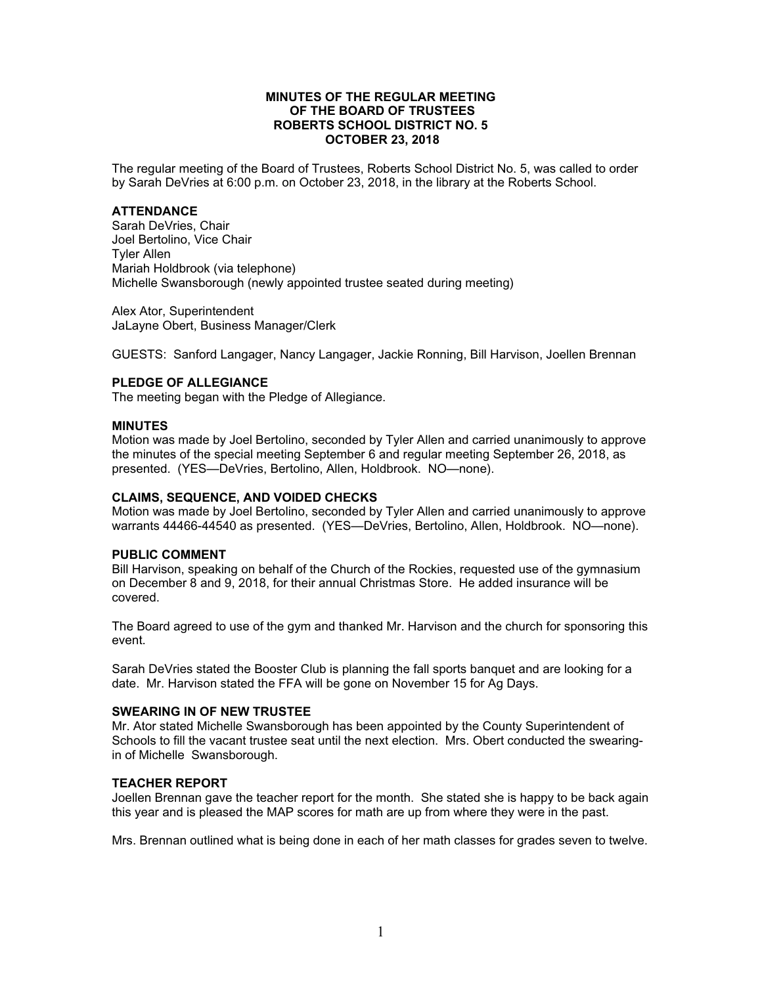## **MINUTES OF THE REGULAR MEETING OF THE BOARD OF TRUSTEES ROBERTS SCHOOL DISTRICT NO. 5 OCTOBER 23, 2018**

The regular meeting of the Board of Trustees, Roberts School District No. 5, was called to order by Sarah DeVries at 6:00 p.m. on October 23, 2018, in the library at the Roberts School.

## **ATTENDANCE**

Sarah DeVries, Chair Joel Bertolino, Vice Chair Tyler Allen Mariah Holdbrook (via telephone) Michelle Swansborough (newly appointed trustee seated during meeting)

Alex Ator, Superintendent JaLayne Obert, Business Manager/Clerk

GUESTS: Sanford Langager, Nancy Langager, Jackie Ronning, Bill Harvison, Joellen Brennan

# **PLEDGE OF ALLEGIANCE**

The meeting began with the Pledge of Allegiance.

#### **MINUTES**

Motion was made by Joel Bertolino, seconded by Tyler Allen and carried unanimously to approve the minutes of the special meeting September 6 and regular meeting September 26, 2018, as presented. (YES—DeVries, Bertolino, Allen, Holdbrook. NO—none).

#### **CLAIMS, SEQUENCE, AND VOIDED CHECKS**

Motion was made by Joel Bertolino, seconded by Tyler Allen and carried unanimously to approve warrants 44466-44540 as presented. (YES—DeVries, Bertolino, Allen, Holdbrook. NO—none).

## **PUBLIC COMMENT**

Bill Harvison, speaking on behalf of the Church of the Rockies, requested use of the gymnasium on December 8 and 9, 2018, for their annual Christmas Store. He added insurance will be covered.

The Board agreed to use of the gym and thanked Mr. Harvison and the church for sponsoring this event.

Sarah DeVries stated the Booster Club is planning the fall sports banquet and are looking for a date. Mr. Harvison stated the FFA will be gone on November 15 for Ag Days.

## **SWEARING IN OF NEW TRUSTEE**

Mr. Ator stated Michelle Swansborough has been appointed by the County Superintendent of Schools to fill the vacant trustee seat until the next election. Mrs. Obert conducted the swearingin of Michelle Swansborough.

## **TEACHER REPORT**

Joellen Brennan gave the teacher report for the month. She stated she is happy to be back again this year and is pleased the MAP scores for math are up from where they were in the past.

Mrs. Brennan outlined what is being done in each of her math classes for grades seven to twelve.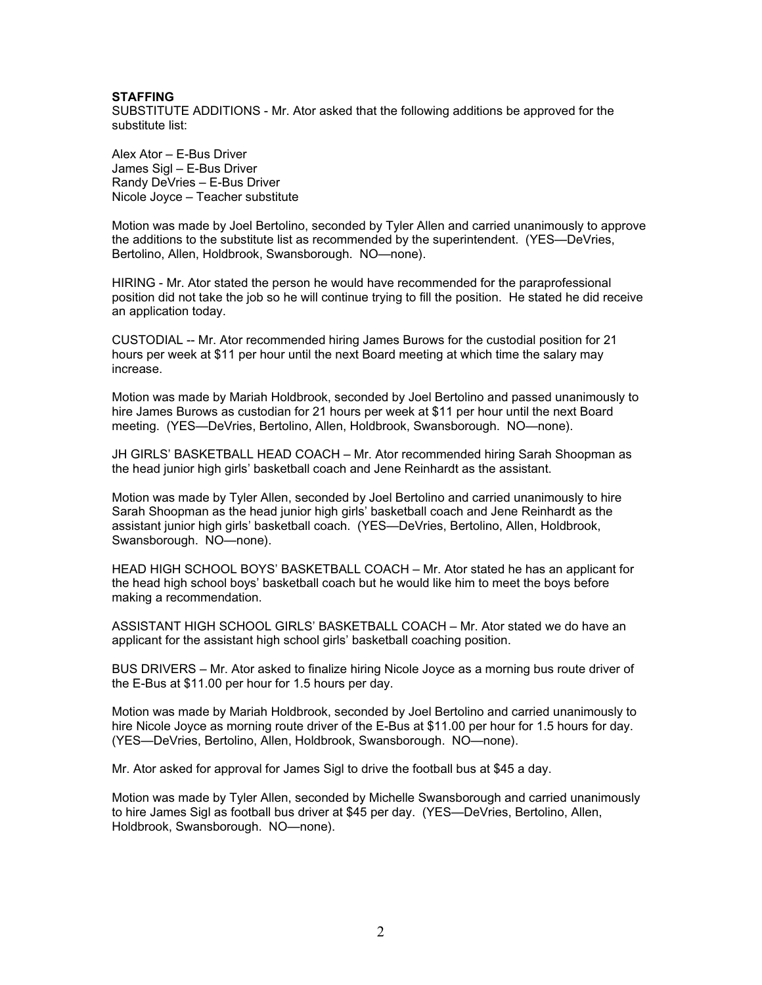#### **STAFFING**

SUBSTITUTE ADDITIONS - Mr. Ator asked that the following additions be approved for the substitute list:

Alex Ator – E-Bus Driver James Sigl – E-Bus Driver Randy DeVries – E-Bus Driver Nicole Joyce – Teacher substitute

Motion was made by Joel Bertolino, seconded by Tyler Allen and carried unanimously to approve the additions to the substitute list as recommended by the superintendent. (YES—DeVries, Bertolino, Allen, Holdbrook, Swansborough. NO—none).

HIRING - Mr. Ator stated the person he would have recommended for the paraprofessional position did not take the job so he will continue trying to fill the position. He stated he did receive an application today.

CUSTODIAL -- Mr. Ator recommended hiring James Burows for the custodial position for 21 hours per week at \$11 per hour until the next Board meeting at which time the salary may increase.

Motion was made by Mariah Holdbrook, seconded by Joel Bertolino and passed unanimously to hire James Burows as custodian for 21 hours per week at \$11 per hour until the next Board meeting. (YES—DeVries, Bertolino, Allen, Holdbrook, Swansborough. NO—none).

JH GIRLS' BASKETBALL HEAD COACH – Mr. Ator recommended hiring Sarah Shoopman as the head junior high girls' basketball coach and Jene Reinhardt as the assistant.

Motion was made by Tyler Allen, seconded by Joel Bertolino and carried unanimously to hire Sarah Shoopman as the head junior high girls' basketball coach and Jene Reinhardt as the assistant junior high girls' basketball coach. (YES—DeVries, Bertolino, Allen, Holdbrook, Swansborough. NO—none).

HEAD HIGH SCHOOL BOYS' BASKETBALL COACH – Mr. Ator stated he has an applicant for the head high school boys' basketball coach but he would like him to meet the boys before making a recommendation.

ASSISTANT HIGH SCHOOL GIRLS' BASKETBALL COACH – Mr. Ator stated we do have an applicant for the assistant high school girls' basketball coaching position.

BUS DRIVERS – Mr. Ator asked to finalize hiring Nicole Joyce as a morning bus route driver of the E-Bus at \$11.00 per hour for 1.5 hours per day.

Motion was made by Mariah Holdbrook, seconded by Joel Bertolino and carried unanimously to hire Nicole Joyce as morning route driver of the E-Bus at \$11.00 per hour for 1.5 hours for day. (YES—DeVries, Bertolino, Allen, Holdbrook, Swansborough. NO—none).

Mr. Ator asked for approval for James Sigl to drive the football bus at \$45 a day.

Motion was made by Tyler Allen, seconded by Michelle Swansborough and carried unanimously to hire James Sigl as football bus driver at \$45 per day. (YES—DeVries, Bertolino, Allen, Holdbrook, Swansborough. NO—none).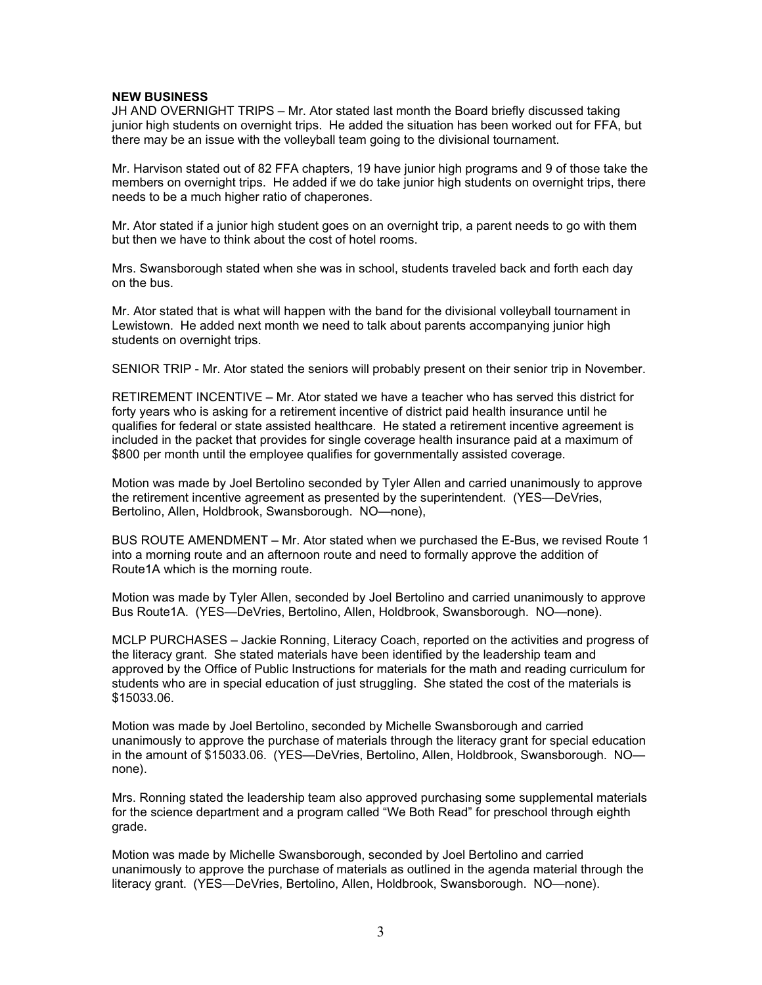#### **NEW BUSINESS**

JH AND OVERNIGHT TRIPS – Mr. Ator stated last month the Board briefly discussed taking junior high students on overnight trips. He added the situation has been worked out for FFA, but there may be an issue with the volleyball team going to the divisional tournament.

Mr. Harvison stated out of 82 FFA chapters, 19 have junior high programs and 9 of those take the members on overnight trips. He added if we do take junior high students on overnight trips, there needs to be a much higher ratio of chaperones.

Mr. Ator stated if a junior high student goes on an overnight trip, a parent needs to go with them but then we have to think about the cost of hotel rooms.

Mrs. Swansborough stated when she was in school, students traveled back and forth each day on the bus.

Mr. Ator stated that is what will happen with the band for the divisional volleyball tournament in Lewistown. He added next month we need to talk about parents accompanying junior high students on overnight trips.

SENIOR TRIP - Mr. Ator stated the seniors will probably present on their senior trip in November.

RETIREMENT INCENTIVE – Mr. Ator stated we have a teacher who has served this district for forty years who is asking for a retirement incentive of district paid health insurance until he qualifies for federal or state assisted healthcare. He stated a retirement incentive agreement is included in the packet that provides for single coverage health insurance paid at a maximum of \$800 per month until the employee qualifies for governmentally assisted coverage.

Motion was made by Joel Bertolino seconded by Tyler Allen and carried unanimously to approve the retirement incentive agreement as presented by the superintendent. (YES—DeVries, Bertolino, Allen, Holdbrook, Swansborough. NO—none),

BUS ROUTE AMENDMENT – Mr. Ator stated when we purchased the E-Bus, we revised Route 1 into a morning route and an afternoon route and need to formally approve the addition of Route1A which is the morning route.

Motion was made by Tyler Allen, seconded by Joel Bertolino and carried unanimously to approve Bus Route1A. (YES—DeVries, Bertolino, Allen, Holdbrook, Swansborough. NO—none).

MCLP PURCHASES – Jackie Ronning, Literacy Coach, reported on the activities and progress of the literacy grant. She stated materials have been identified by the leadership team and approved by the Office of Public Instructions for materials for the math and reading curriculum for students who are in special education of just struggling. She stated the cost of the materials is \$15033.06.

Motion was made by Joel Bertolino, seconded by Michelle Swansborough and carried unanimously to approve the purchase of materials through the literacy grant for special education in the amount of \$15033.06. (YES—DeVries, Bertolino, Allen, Holdbrook, Swansborough. NO none).

Mrs. Ronning stated the leadership team also approved purchasing some supplemental materials for the science department and a program called "We Both Read" for preschool through eighth grade.

Motion was made by Michelle Swansborough, seconded by Joel Bertolino and carried unanimously to approve the purchase of materials as outlined in the agenda material through the literacy grant. (YES—DeVries, Bertolino, Allen, Holdbrook, Swansborough. NO—none).